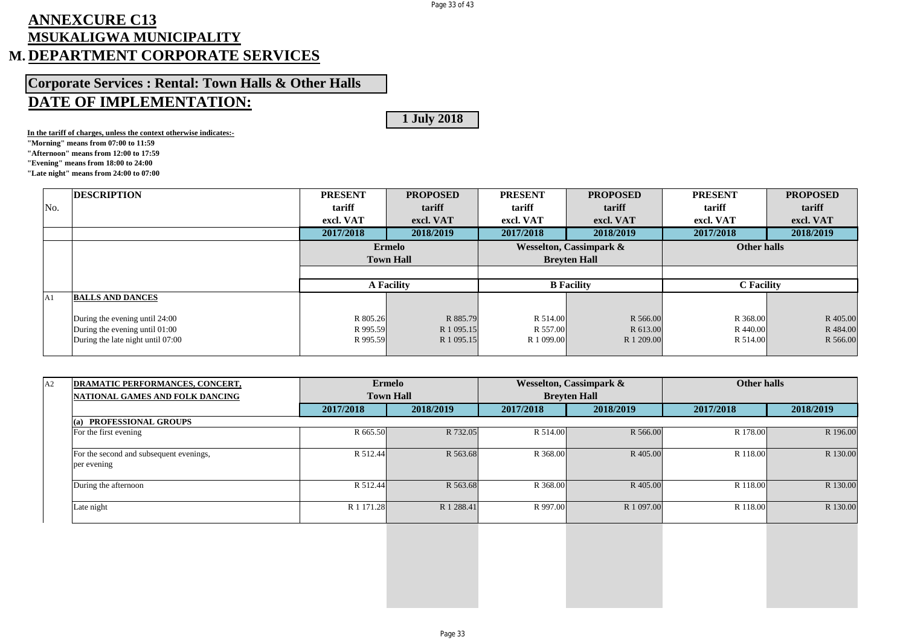## Page 33 of 43

## **ANNEXCURE C13 MSUKALIGWA MUNICIPALITY M. DEPARTMENT CORPORATE SERVICES**

**Corporate Services : Rental: Town Halls & Other Halls**

## **DATE OF IMPLEMENTATION:**

**1 July 2018**

**In the tariff of charges, unless the context otherwise indicates:-**

**"Morning" means from 07:00 to 11:59**

**"Afternoon" means from 12:00 to 17:59**

**"Evening" means from 18:00 to 24:00**

**"Late night" means from 24:00 to 07:00**

|     | <b>DESCRIPTION</b>                                               | <b>PRESENT</b> | <b>PROPOSED</b>   | <b>PRESENT</b> | <b>PROPOSED</b>                    | <b>PRESENT</b>    | <b>PROPOSED</b> |
|-----|------------------------------------------------------------------|----------------|-------------------|----------------|------------------------------------|-------------------|-----------------|
| No. |                                                                  | tariff         | tariff            | tariff         | tariff                             | tariff            | tariff          |
|     |                                                                  | excl. VAT      | excl. VAT         | excl. VAT      | excl. VAT                          | excl. VAT         | excl. VAT       |
|     |                                                                  | 2017/2018      | 2018/2019         | 2017/2018      | 2018/2019                          | 2017/2018         | 2018/2019       |
|     |                                                                  |                | <b>Ermelo</b>     |                | <b>Wesselton, Cassimpark &amp;</b> | Other halls       |                 |
|     |                                                                  |                | <b>Town Hall</b>  |                | <b>Brevten Hall</b>                |                   |                 |
|     |                                                                  |                |                   |                |                                    |                   |                 |
|     |                                                                  |                | <b>A Facility</b> |                | <b>B</b> Facility                  | <b>C</b> Facility |                 |
| A1  | <b>BALLS AND DANCES</b>                                          |                |                   |                |                                    |                   |                 |
|     |                                                                  | R 805.26       | R 885.79          | R 514.00       | R 566.00                           | R 368.00          | R 405.00        |
|     | During the evening until 24:00<br>During the evening until 01:00 | R 995.59       | R 1 095.15        | R 557.00       | R 613.00                           | R 440.00          | R 484.00        |
|     |                                                                  |                |                   |                |                                    |                   |                 |
|     | During the late night until 07:00                                | R 995.59       | R 1 095.15        | R 1 099.00     | R 1 209.00                         | R 514.00          | R 566.00        |

| A2 | DRAMATIC PERFORMANCES, CONCERT,                        |            | <b>Ermelo</b>    |           | <b>Wesselton, Cassimpark &amp;</b> | <b>Other halls</b> |           |
|----|--------------------------------------------------------|------------|------------------|-----------|------------------------------------|--------------------|-----------|
|    | NATIONAL GAMES AND FOLK DANCING                        |            | <b>Town Hall</b> |           | <b>Brevten Hall</b>                |                    |           |
|    |                                                        | 2017/2018  | 2018/2019        | 2017/2018 | 2018/2019                          | 2017/2018          | 2018/2019 |
|    | <b>PROFESSIONAL GROUPS</b><br>(a)                      |            |                  |           |                                    |                    |           |
|    | For the first evening                                  | R 665.50   | R 732.05         | R 514.00  | R 566.00                           | R 178.00           | R 196.00  |
|    | For the second and subsequent evenings,<br>per evening | R 512.44   | R 563.68         | R 368.00  | R 405.00                           | R 118.00           | R 130.00  |
|    | During the afternoon                                   | R 512.44   | R 563.68         | R 368.00  | R 405.00                           | R 118.00           | R 130.00  |
|    | Late night                                             | R 1 171.28 | R 1 288.41       | R 997.00  | R 1 097.00                         | R 118.00           | R 130.00  |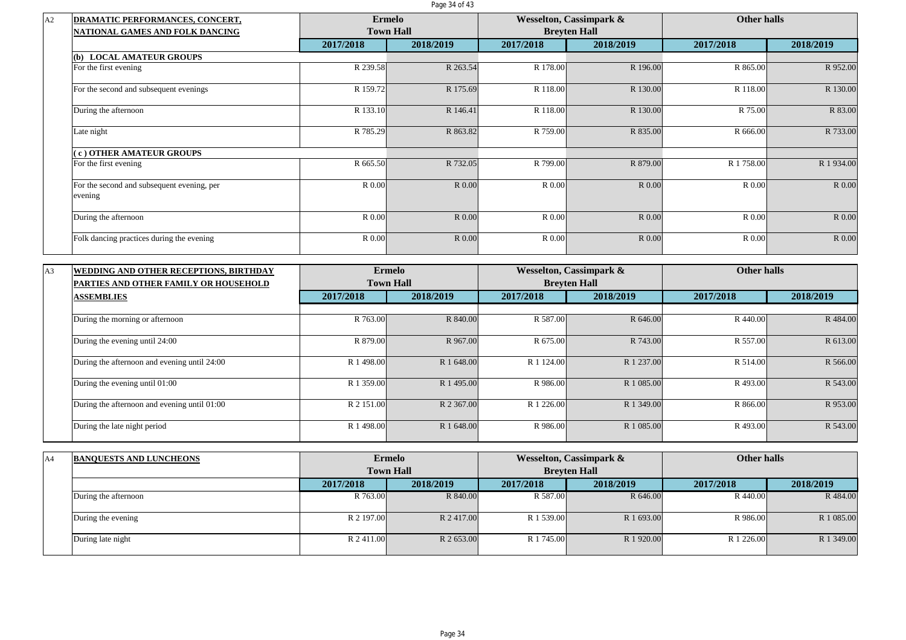Page 34 of 43

| <b>DRAMATIC PERFORMANCES, CONCERT,</b>                | <b>Ermelo</b> |                  |           | <b>Wesselton, Cassimpark &amp;</b> | <b>Other halls</b> |           |
|-------------------------------------------------------|---------------|------------------|-----------|------------------------------------|--------------------|-----------|
| <b>NATIONAL GAMES AND FOLK DANCING</b>                |               | <b>Town Hall</b> |           | <b>Brevten Hall</b>                |                    |           |
|                                                       | 2017/2018     | 2018/2019        | 2017/2018 | 2018/2019                          | 2017/2018          | 2018/2019 |
| <b>LOCAL AMATEUR GROUPS</b><br>(b)                    |               |                  |           |                                    |                    |           |
| For the first evening                                 | R 239.58      | R 263.54         | R 178.00  | R 196.00                           | R 865.00           | R 952.00  |
| For the second and subsequent evenings                | R 159.72      | R 175.69         | R 118.00  | R 130.00                           | R 118.00           | R 130.00  |
| During the afternoon                                  | R 133.10      | R 146.41         | R 118.00  | R 130.00                           | R 75.00            | R 83.00   |
| Late night                                            | R 785.29      | R 863.82         | R 759.00  | R 835.00                           | R 666.00           | R 733.00  |
| c) OTHER AMATEUR GROUPS                               |               |                  |           |                                    |                    |           |
| For the first evening                                 | R 665.50      | R 732.05         | R 799.00  | R 879.00                           | R 1758.00          | R 1934.00 |
| For the second and subsequent evening, per<br>evening | R 0.00        | R 0.00           | R 0.00    | R 0.00                             | R 0.00             | R 0.00    |
| During the afternoon                                  | R 0.00        | R 0.00           | R 0.00    | R 0.00                             | R 0.00             | R 0.00    |
| Folk dancing practices during the evening             | R 0.00        | R 0.00           | R 0.00    | R 0.00                             | R 0.00             | R 0.00    |

| A3 | WEDDING AND OTHER RECEPTIONS, BIRTHDAY       |            | <b>Ermelo</b>    |            | <b>Wesselton, Cassimpark &amp;</b> | <b>Other halls</b> |           |
|----|----------------------------------------------|------------|------------------|------------|------------------------------------|--------------------|-----------|
|    | <b>PARTIES AND OTHER FAMILY OR HOUSEHOLD</b> |            | <b>Town Hall</b> |            | <b>Brevten Hall</b>                |                    |           |
|    | <b>ASSEMBLIES</b>                            | 2017/2018  | 2018/2019        | 2017/2018  | 2018/2019                          | 2017/2018          | 2018/2019 |
|    |                                              |            |                  |            |                                    |                    |           |
|    | During the morning or afternoon              | R 763.00   | R 840.00         | R 587.00   | R 646.00                           | R 440.00           | R 484.00  |
|    | During the evening until 24:00               | R 879.00   | R 967.00         | R 675.00   | R 743.00                           | R 557.00           | R 613.00  |
|    | During the afternoon and evening until 24:00 | R 1 498.00 | R 1 648.00       | R 1 124.00 | R 1 237.00                         | R 514.00           | R 566.00  |
|    | During the evening until 01:00               | R 1 359.00 | R 1495.00        | R 986.00   | R 1 085.00                         | R493.00            | R 543.00  |
|    | During the afternoon and evening until 01:00 | R 2 151.00 | R 2 367.00       | R 1 226.00 | R 1 349.00                         | R 866.00           | R 953.00  |
|    | During the late night period                 | R 1 498.00 | R 1 648.00       | R 986.00   | R 1 085.00                         | R493.00            | R 543.00  |

| A4 | <b>BANQUESTS AND LUNCHEONS</b> |            | <b>Ermelo</b>    |            | Wesselton, Cassimpark & | Other halls |            |
|----|--------------------------------|------------|------------------|------------|-------------------------|-------------|------------|
|    |                                |            | <b>Town Hall</b> |            | <b>Breyten Hall</b>     |             |            |
|    |                                | 2017/2018  | 2018/2019        | 2017/2018  | 2018/2019               | 2017/2018   | 2018/2019  |
|    | During the afternoon           | R 763.00   | R 840.00         | R 587.00   | R 646.00                | R 440.00    | R 484.00   |
|    | During the evening             | R 2 197.00 | R 2417.00        | R 1 539.00 | R 1 693.00              | R 986.00    | R 1 085.00 |
|    | During late night              | R 2 411.00 | R 2 653.00       | R 1 745.00 | R 1 920.00              | R 1 226.00  | R 1 349.00 |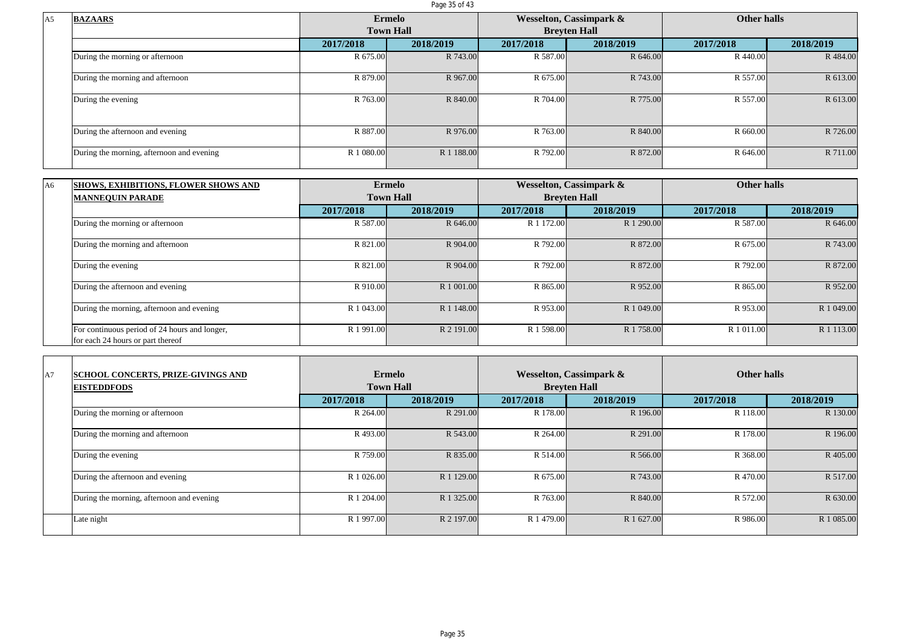Page 35 of 43

| <b>BAZAARS</b>                            |            | Ermelo           |           | <b>Wesselton, Cassimpark &amp;</b> | Other halls |           |
|-------------------------------------------|------------|------------------|-----------|------------------------------------|-------------|-----------|
|                                           |            | <b>Town Hall</b> |           | <b>Brevten Hall</b>                |             |           |
|                                           | 2017/2018  | 2018/2019        | 2017/2018 | 2018/2019                          | 2017/2018   | 2018/2019 |
| During the morning or afternoon           | R 675.00   | R 743.00         | R 587.00  | R 646.00                           | R 440.00    | R 484.00  |
| During the morning and afternoon          | R 879.00   | R 967.00         | R 675.00  | R 743.00                           | R 557.00    | R 613.00  |
| During the evening                        | R 763.00   | R 840.00         | R 704.00  | R 775.00                           | R 557.00    | R 613.00  |
| During the afternoon and evening          | R 887.00   | R 976.00         | R 763.00  | R 840.00                           | R 660.00    | R 726.00  |
| During the morning, afternoon and evening | R 1 080.00 | R 1 188.00       | R 792.00  | R 872.00                           | R 646.00    | R 711.00  |

| A <sub>6</sub> | <b>SHOWS, EXHIBITIONS, FLOWER SHOWS AND</b>                                        |            | Ermelo           |            | Wesselton, Cassimpark & | <b>Other halls</b> |               |
|----------------|------------------------------------------------------------------------------------|------------|------------------|------------|-------------------------|--------------------|---------------|
|                | <b>MANNEOUIN PARADE</b>                                                            |            | <b>Town Hall</b> |            | <b>Brevten Hall</b>     |                    |               |
|                |                                                                                    | 2017/2018  | 2018/2019        | 2017/2018  | 2018/2019               | 2017/2018          | 2018/2019     |
|                | During the morning or afternoon                                                    | R 587.00   | R 646.00         | R 1 172.00 | R 1 290.00              | R 587.00           | R 646.00      |
|                | During the morning and afternoon                                                   | R 821.00   | R 904.00         | R 792.00   | R 872.00                | R 675.00           | R 743.00      |
|                | During the evening                                                                 | R 821.00   | R 904.00         | R 792.00   | R 872.00                | R 792.00           | R 872.00      |
|                | During the afternoon and evening                                                   | R 910.00   | R 1 001.00       | R 865.00   | R 952.00                | R 865.00           | R 952.00      |
|                | During the morning, afternoon and evening                                          | R 1 043.00 | R 1 148.00       | R 953.00   | R 1 049.00              | R 953.00           | R 1 049.00    |
|                | For continuous period of 24 hours and longer,<br>for each 24 hours or part thereof | R 1 991.00 | R 2 191.00       | R 1 598.00 | R 1 758.00              | R 1 011.00         | R 1 1 1 3 .00 |

| A7 | <b>SCHOOL CONCERTS, PRIZE-GIVINGS AND</b><br><b>EISTEDDFODS</b> |            | <b>Ermelo</b><br><b>Town Hall</b> |            | <b>Wesselton, Cassimpark &amp;</b><br><b>Brevten Hall</b> | Other halls |            |
|----|-----------------------------------------------------------------|------------|-----------------------------------|------------|-----------------------------------------------------------|-------------|------------|
|    |                                                                 | 2017/2018  | 2018/2019                         | 2017/2018  | 2018/2019                                                 | 2017/2018   | 2018/2019  |
|    | During the morning or afternoon                                 | R 264.00   | R 291.00                          | R 178.00   | R 196.00                                                  | R 118.00    | R 130.00   |
|    | During the morning and afternoon                                | R493.00    | R 543.00                          | R 264.00   | R 291.00                                                  | R 178.00    | R 196.00   |
|    | During the evening                                              | R 759.00   | R 835.00                          | R 514.00   | R 566.00                                                  | R 368.00    | R 405.00   |
|    | During the afternoon and evening                                | R 1 026.00 | R 1 129.00                        | R 675.00   | R 743.00                                                  | R 470.00    | R 517.00   |
|    | During the morning, afternoon and evening                       | R 1 204.00 | R 1 325.00                        | R 763.00   | R 840.00                                                  | R 572.00    | R 630.00   |
|    | Late night                                                      | R 1 997.00 | R 2 197.00                        | R 1 479.00 | R 1 627.00                                                | R 986.00    | R 1 085.00 |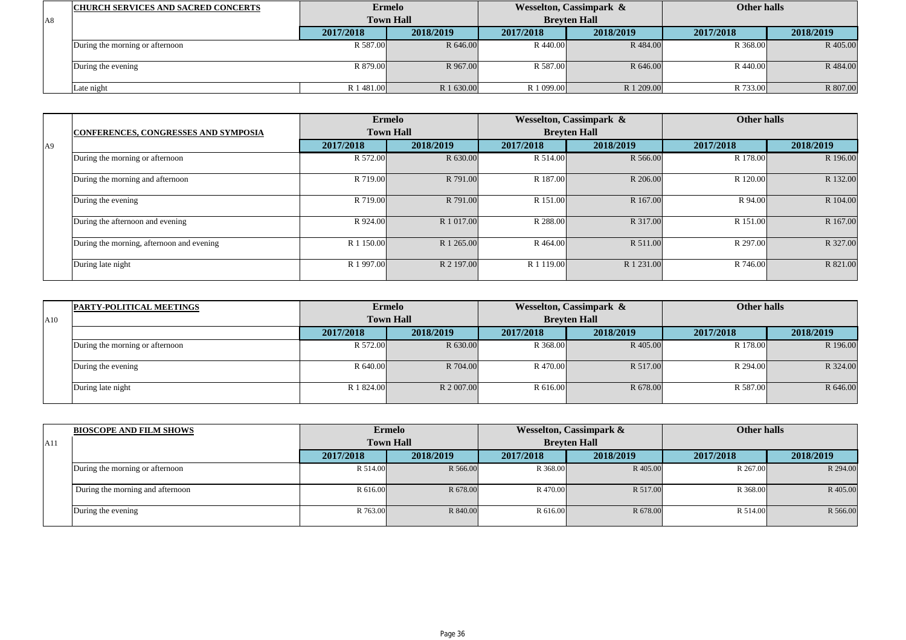|    | <b>CHURCH SERVICES AND SACRED CONCERTS</b> |            | <b>Ermelo</b>    |            | Wesselton, Cassimpark & | Other halls |           |
|----|--------------------------------------------|------------|------------------|------------|-------------------------|-------------|-----------|
| A8 |                                            |            | <b>Town Hall</b> |            | <b>Brevten Hall</b>     |             |           |
|    |                                            | 2017/2018  | 2018/2019        | 2017/2018  | 2018/2019               | 2017/2018   | 2018/2019 |
|    | During the morning or afternoon            | R 587.00   | R 646.00         | R 440.00   | R 484.00                | R 368.00    | R 405.00  |
|    | During the evening                         | R 879.00   | R 967.00         | R 587.00   | R 646.00                | R 440.00    | R 484.00  |
|    | $\text{}$ ate night                        | R 1 481.00 | R 1 630.00       | R 1 099.00 | R 1 209.00              | R 733.00    | R 807.00  |

|                |                                             |            | <b>Ermelo</b>    |               | Wesselton, Cassimpark & | <b>Other halls</b> |           |
|----------------|---------------------------------------------|------------|------------------|---------------|-------------------------|--------------------|-----------|
|                | <b>CONFERENCES, CONGRESSES AND SYMPOSIA</b> |            | <b>Town Hall</b> |               | <b>Brevten Hall</b>     |                    |           |
| A <sup>9</sup> |                                             | 2017/2018  | 2018/2019        | 2017/2018     | 2018/2019               | 2017/2018          | 2018/2019 |
|                | During the morning or afternoon             | R 572.00   | R 630.00         | R 514.00      | R 566.00                | R 178.00           | R 196.00  |
|                | During the morning and afternoon            | R 719.00   | R 791.00         | R 187.00      | R 206.00                | R 120.00           | R 132.00  |
|                | During the evening                          | R 719.00   | R 791.00         | R 151.00      | R 167.00                | R 94.00            | R 104.00  |
|                | During the afternoon and evening            | R 924.00   | R 1 017.00       | R 288.00      | R 317.00                | R 151.00           | R 167.00  |
|                | During the morning, afternoon and evening   | R 1 150.00 | R 1 265.00       | R 464.00      | R 511.00                | R 297.00           | R 327.00  |
|                | During late night                           | R 1 997.00 | R 2 197.00       | R 1 1 1 9 .00 | R 1 231.00              | R 746.00           | R 821.00  |

|     | <b>PARTY-POLITICAL MEETINGS</b> |            | <b>Ermelo</b>    |           | Wesselton, Cassimpark & | Other halls |           |
|-----|---------------------------------|------------|------------------|-----------|-------------------------|-------------|-----------|
| A10 |                                 |            | <b>Town Hall</b> |           | <b>Breyten Hall</b>     |             |           |
|     |                                 | 2017/2018  | 2018/2019        | 2017/2018 | 2018/2019               | 2017/2018   | 2018/2019 |
|     | During the morning or afternoon | R 572.00   | R 630.00         | R 368.00  | R 405.00                | R 178.00    | R 196.00  |
|     | During the evening              | R 640.00   | R 704.00         | R 470.00  | R 517.00                | R 294.00    | R 324.00  |
|     | During late night               | R 1 824.00 | R 2 007.00       | R 616.00  | R 678.00                | R 587.00    | R 646.00  |

|     | <b>BIOSCOPE AND FILM SHOWS</b>   |           | <b>Ermelo</b>    |           | <b>Wesselton, Cassimpark &amp;</b> | Other halls |           |
|-----|----------------------------------|-----------|------------------|-----------|------------------------------------|-------------|-----------|
| A11 |                                  |           | <b>Town Hall</b> |           | <b>Breyten Hall</b>                |             |           |
|     |                                  | 2017/2018 | 2018/2019        | 2017/2018 | 2018/2019                          | 2017/2018   | 2018/2019 |
|     | During the morning or afternoon  | R 514.00  | R 566.00         | R 368.00  | R 405.00                           | R 267.00    | R 294.00  |
|     | During the morning and afternoon | R 616.00  | R 678.00         | R470.00   | R 517.00                           | R 368.00    | R 405.00  |
|     | During the evening               | R 763.00  | R 840.00         | R 616.00  | R 678.00                           | R 514.00    | R 566.00  |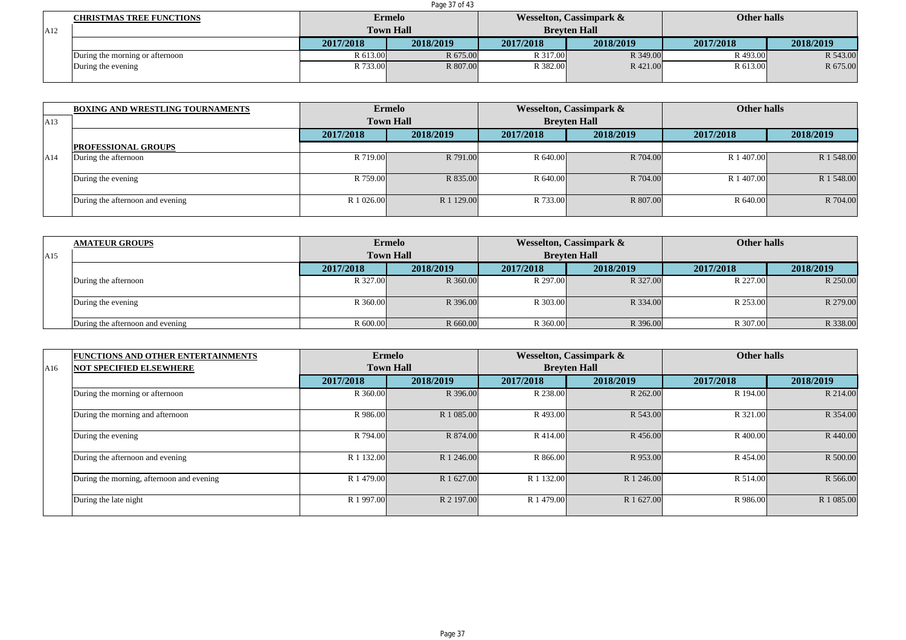|     | Page 37 of 43                   |           |                  |           |                         |             |           |  |  |  |  |
|-----|---------------------------------|-----------|------------------|-----------|-------------------------|-------------|-----------|--|--|--|--|
|     | <b>CHRISTMAS TREE FUNCTIONS</b> |           | Ermelo           |           | Wesselton, Cassimpark & | Other halls |           |  |  |  |  |
| A12 |                                 |           | <b>Town Hall</b> |           | <b>Brevten Hall</b>     |             |           |  |  |  |  |
|     |                                 | 2017/2018 | 2018/2019        | 2017/2018 | 2018/2019               | 2017/2018   | 2018/2019 |  |  |  |  |
|     | During the morning or afternoon | R 613.00  | R 675.00         | R 317.00  | R 349.00                | R 493.00    | R 543.00  |  |  |  |  |
|     | During the evening              | R 733.00  | R 807.00         | R 382.00  | R 421.00                | R 613.00    | R 675.00  |  |  |  |  |
|     |                                 |           |                  |           |                         |             |           |  |  |  |  |

|     | <b>BOXING AND WRESTLING TOURNAMENTS</b> |                  | <b>Ermelo</b> |                     | Wesselton, Cassimpark & | <b>Other halls</b> |            |
|-----|-----------------------------------------|------------------|---------------|---------------------|-------------------------|--------------------|------------|
| A13 |                                         | <b>Town Hall</b> |               | <b>Breyten Hall</b> |                         |                    |            |
|     |                                         | 2017/2018        | 2018/2019     | 2017/2018           | 2018/2019               | 2017/2018          | 2018/2019  |
|     | <b>PROFESSIONAL GROUPS</b>              |                  |               |                     |                         |                    |            |
| A14 | During the afternoon                    | R 719.00         | R 791.00      | R 640.00            | R 704.00                | R 1 407.00         | R 1 548.00 |
|     | During the evening                      | R 759.00         | R 835.00      | R 640.00            | R 704.00                | R 1 407.00         | R 1 548.00 |
|     | During the afternoon and evening        | R 1 026.00       | R 1 129.00    | R 733.00            | R 807.00                | R 640.00           | R 704.00   |

|     | <b>AMATEUR GROUPS</b>            |           | <b>Ermelo</b>    |           | <b>Wesselton, Cassimpark &amp;</b> | <b>Other halls</b> |           |
|-----|----------------------------------|-----------|------------------|-----------|------------------------------------|--------------------|-----------|
| A15 |                                  |           | <b>Town Hall</b> |           | <b>Breyten Hall</b>                |                    |           |
|     |                                  | 2017/2018 | 2018/2019        | 2017/2018 | 2018/2019                          | 2017/2018          | 2018/2019 |
|     | During the afternoon             | R 327.00  | R 360.00         | R 297.00  | R 327.00                           | R 227.00           | R 250.00  |
|     | During the evening               | R 360.00  | R 396.00         | R 303.00  | R 334.00                           | R 253.00           | R 279.00  |
|     | During the afternoon and evening | R 600.00  | R 660.00         | R 360.00  | R 396.00                           | R 307.00           | R 338.00  |

|     | <b>FUNCTIONS AND OTHER ENTERTAINMENTS</b> |            | <b>Ermelo</b>    |            | <b>Wesselton, Cassimpark &amp;</b> | <b>Other halls</b> |            |
|-----|-------------------------------------------|------------|------------------|------------|------------------------------------|--------------------|------------|
| A16 | <b>NOT SPECIFIED ELSEWHERE</b>            |            | <b>Town Hall</b> |            | <b>Brevten Hall</b>                |                    |            |
|     |                                           | 2017/2018  | 2018/2019        | 2017/2018  | 2018/2019                          | 2017/2018          | 2018/2019  |
|     | During the morning or afternoon           | R 360.00   | R 396.00         | R 238.00   | R 262.00                           | R 194.00           | R 214.00   |
|     | During the morning and afternoon          | R 986.00   | R 1 085.00       | R 493.00   | R 543.00                           | R 321.00           | R 354.00   |
|     | During the evening                        | R 794.00   | R 874.00         | R 414.00   | R 456.00                           | R 400.00           | R 440.00   |
|     | During the afternoon and evening          | R 1 132.00 | R 1 246.00       | R 866.00   | R 953.00                           | R 454.00           | R 500.00   |
|     | During the morning, afternoon and evening | R 1 479.00 | R 1 627.00       | R 1 132.00 | R 1 246.00                         | R 514.00           | R 566.00   |
|     | During the late night                     | R 1 997.00 | R 2 197.00       | R 1 479.00 | R 1 627.00                         | R 986.00           | R 1 085.00 |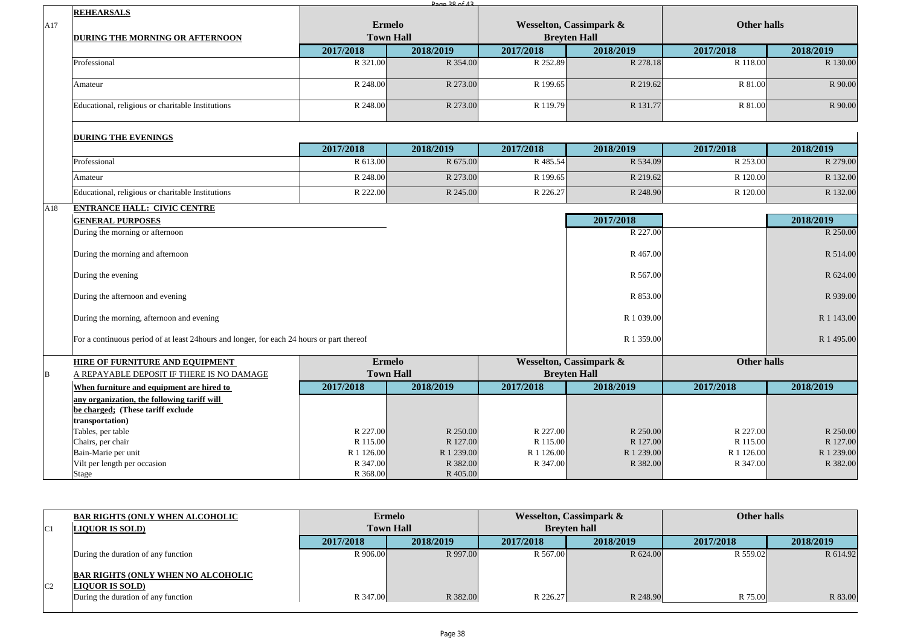|                                                   |                                                                                                                                                                                                                                        | Dage 28 of 42                                                                                                                                |                                                                                                                          |                                                |                                                                                                             |                                                                                                                                                                                                                                                                               |
|---------------------------------------------------|----------------------------------------------------------------------------------------------------------------------------------------------------------------------------------------------------------------------------------------|----------------------------------------------------------------------------------------------------------------------------------------------|--------------------------------------------------------------------------------------------------------------------------|------------------------------------------------|-------------------------------------------------------------------------------------------------------------|-------------------------------------------------------------------------------------------------------------------------------------------------------------------------------------------------------------------------------------------------------------------------------|
| <b>REHEARSALS</b>                                 |                                                                                                                                                                                                                                        |                                                                                                                                              |                                                                                                                          |                                                |                                                                                                             |                                                                                                                                                                                                                                                                               |
|                                                   |                                                                                                                                                                                                                                        |                                                                                                                                              |                                                                                                                          |                                                |                                                                                                             |                                                                                                                                                                                                                                                                               |
| DURING THE MORNING OR AFTERNOON                   |                                                                                                                                                                                                                                        |                                                                                                                                              |                                                                                                                          |                                                |                                                                                                             |                                                                                                                                                                                                                                                                               |
|                                                   | 2017/2018                                                                                                                                                                                                                              | 2018/2019                                                                                                                                    | 2017/2018                                                                                                                | 2018/2019                                      | 2017/2018                                                                                                   | 2018/2019                                                                                                                                                                                                                                                                     |
| Professional                                      | R 321.00                                                                                                                                                                                                                               | R 354.00                                                                                                                                     | R 252.89                                                                                                                 |                                                | R 118.00                                                                                                    | R 130.00                                                                                                                                                                                                                                                                      |
| Amateur                                           | R 248.00                                                                                                                                                                                                                               | R 273.00                                                                                                                                     | R 199.65                                                                                                                 |                                                | R 81.00                                                                                                     | R 90.00                                                                                                                                                                                                                                                                       |
| Educational, religious or charitable Institutions | R 248.00                                                                                                                                                                                                                               | R 273.00                                                                                                                                     | R 119.79                                                                                                                 |                                                | R 81.00                                                                                                     | R 90.00                                                                                                                                                                                                                                                                       |
|                                                   |                                                                                                                                                                                                                                        |                                                                                                                                              |                                                                                                                          |                                                |                                                                                                             |                                                                                                                                                                                                                                                                               |
|                                                   | 2017/2018                                                                                                                                                                                                                              | 2018/2019                                                                                                                                    | 2017/2018                                                                                                                | 2018/2019                                      | 2017/2018                                                                                                   | 2018/2019                                                                                                                                                                                                                                                                     |
| Professional                                      | R 613.00                                                                                                                                                                                                                               | R 675.00                                                                                                                                     | R 485.54                                                                                                                 |                                                | R 253.00                                                                                                    | R 279.00                                                                                                                                                                                                                                                                      |
| Amateur                                           | R 248.00                                                                                                                                                                                                                               | R 273.00                                                                                                                                     | R 199.65                                                                                                                 |                                                | R 120.00                                                                                                    | R 132.00                                                                                                                                                                                                                                                                      |
| Educational, religious or charitable Institutions | R 222.00                                                                                                                                                                                                                               | R 245.00                                                                                                                                     | R 226.27                                                                                                                 |                                                | R 120.00                                                                                                    | R 132.00                                                                                                                                                                                                                                                                      |
| <b>ENTRANCE HALL: CIVIC CENTRE</b>                |                                                                                                                                                                                                                                        |                                                                                                                                              |                                                                                                                          |                                                |                                                                                                             |                                                                                                                                                                                                                                                                               |
| <b>GENERAL PURPOSES</b>                           |                                                                                                                                                                                                                                        |                                                                                                                                              |                                                                                                                          | 2017/2018                                      |                                                                                                             | 2018/2019                                                                                                                                                                                                                                                                     |
| During the morning or afternoon                   |                                                                                                                                                                                                                                        |                                                                                                                                              |                                                                                                                          |                                                |                                                                                                             | R 250.00                                                                                                                                                                                                                                                                      |
| During the morning and afternoon                  |                                                                                                                                                                                                                                        |                                                                                                                                              |                                                                                                                          |                                                |                                                                                                             | R 514.00                                                                                                                                                                                                                                                                      |
| During the evening                                |                                                                                                                                                                                                                                        |                                                                                                                                              |                                                                                                                          |                                                |                                                                                                             | R 624.00                                                                                                                                                                                                                                                                      |
| During the afternoon and evening                  |                                                                                                                                                                                                                                        |                                                                                                                                              |                                                                                                                          | R 853.00                                       |                                                                                                             | R 939.00                                                                                                                                                                                                                                                                      |
| During the morning, afternoon and evening         |                                                                                                                                                                                                                                        |                                                                                                                                              |                                                                                                                          |                                                |                                                                                                             | R 1 143.00                                                                                                                                                                                                                                                                    |
|                                                   |                                                                                                                                                                                                                                        |                                                                                                                                              | R 1 495.00                                                                                                               |                                                |                                                                                                             |                                                                                                                                                                                                                                                                               |
|                                                   |                                                                                                                                                                                                                                        |                                                                                                                                              |                                                                                                                          |                                                |                                                                                                             |                                                                                                                                                                                                                                                                               |
| A REPAYABLE DEPOSIT IF THERE IS NO DAMAGE         |                                                                                                                                                                                                                                        |                                                                                                                                              |                                                                                                                          |                                                |                                                                                                             |                                                                                                                                                                                                                                                                               |
| When furniture and equipment are hired to         | 2017/2018                                                                                                                                                                                                                              | 2018/2019                                                                                                                                    | 2017/2018                                                                                                                | 2018/2019                                      | 2017/2018                                                                                                   | 2018/2019                                                                                                                                                                                                                                                                     |
| any organization, the following tariff will       |                                                                                                                                                                                                                                        |                                                                                                                                              |                                                                                                                          |                                                |                                                                                                             |                                                                                                                                                                                                                                                                               |
|                                                   |                                                                                                                                                                                                                                        |                                                                                                                                              |                                                                                                                          |                                                |                                                                                                             |                                                                                                                                                                                                                                                                               |
|                                                   |                                                                                                                                                                                                                                        |                                                                                                                                              |                                                                                                                          |                                                |                                                                                                             |                                                                                                                                                                                                                                                                               |
|                                                   |                                                                                                                                                                                                                                        |                                                                                                                                              |                                                                                                                          |                                                |                                                                                                             | R 250.00<br>R 127.00                                                                                                                                                                                                                                                          |
|                                                   |                                                                                                                                                                                                                                        |                                                                                                                                              |                                                                                                                          |                                                |                                                                                                             | R 1 239.00                                                                                                                                                                                                                                                                    |
|                                                   |                                                                                                                                                                                                                                        |                                                                                                                                              |                                                                                                                          |                                                |                                                                                                             | R 382.00                                                                                                                                                                                                                                                                      |
|                                                   | R 368.00                                                                                                                                                                                                                               | R 405.00                                                                                                                                     |                                                                                                                          |                                                |                                                                                                             |                                                                                                                                                                                                                                                                               |
|                                                   | <b>DURING THE EVENINGS</b><br><b>HIRE OF FURNITURE AND EQUIPMENT</b><br>be charged; (These tariff exclude<br>transportation)<br>Tables, per table<br>Chairs, per chair<br>Bain-Marie per unit<br>Vilt per length per occasion<br>Stage | For a continuous period of at least 24 hours and longer, for each 24 hours or part thereof<br>R 227.00<br>R 115.00<br>R 1 126.00<br>R 347.00 | <b>Ermelo</b><br><b>Town Hall</b><br><b>Ermelo</b><br><b>Town Hall</b><br>R 250.00<br>R 127.00<br>R 1 239.00<br>R 382.00 | R 227.00<br>R 115.00<br>R 1 126.00<br>R 347.00 | <b>Wesselton, Cassimpark &amp;</b><br><b>Breyten Hall</b><br>Wesselton, Cassimpark &<br><b>Breyten Hall</b> | <b>Other halls</b><br>R 278.18<br>R 219.62<br>R 131.77<br>R 534.09<br>R 219.62<br>R 248.90<br>R 227.00<br>R 467.00<br>R 567.00<br>R 1 039.00<br>R 1 359.00<br>Other halls<br>R 250.00<br>R 227.00<br>R 127.00<br>R 115.00<br>R 1 239.00<br>R 1 126.00<br>R 382.00<br>R 347.00 |

|                | <b>BAR RIGHTS (ONLY WHEN ALCOHOLIC</b>                              |           | <b>Ermelo</b>    |           | Wesselton, Cassimpark & | Other halls |           |
|----------------|---------------------------------------------------------------------|-----------|------------------|-----------|-------------------------|-------------|-----------|
| C1             | <b>LIQUOR IS SOLD)</b>                                              |           | <b>Town Hall</b> |           | <b>Brevten hall</b>     |             |           |
|                |                                                                     | 2017/2018 | 2018/2019        | 2017/2018 | 2018/2019               | 2017/2018   | 2018/2019 |
|                | During the duration of any function                                 | R 906.00  | R 997.00         | R 567.00  | R 624.00                | R 559.02    | R 614.92  |
| C <sub>2</sub> | <b>BAR RIGHTS (ONLY WHEN NO ALCOHOLIC</b><br><b>LIQUOR IS SOLD)</b> |           |                  |           |                         |             |           |
|                | During the duration of any function                                 | R 347.00  | R 382.00         | R 226.27  | R 248.90                | R 75.00     | R 83.00   |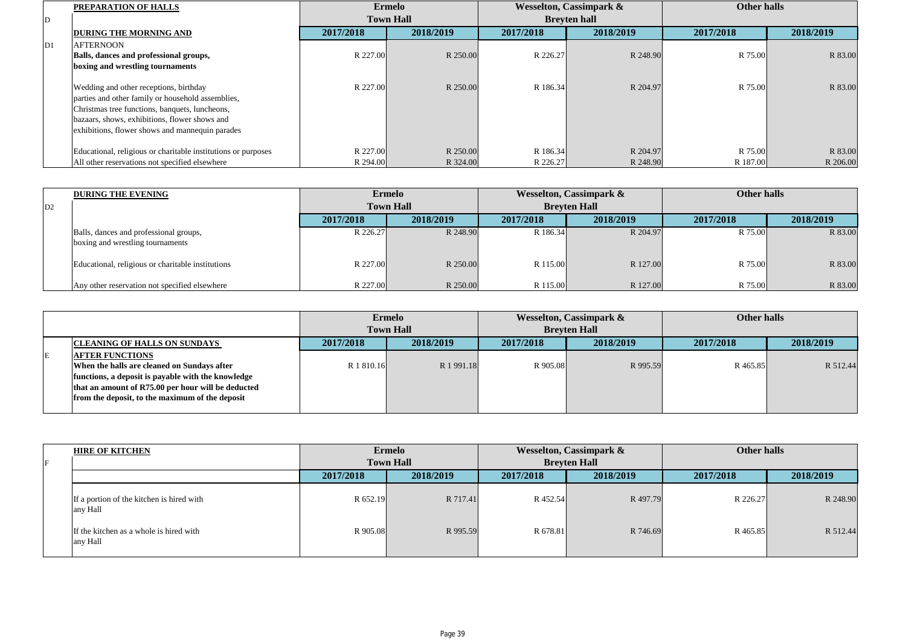|    | PREPARATION OF HALLS                                          |           | <b>Ermelo</b>    |           | <b>Wesselton, Cassimpark &amp;</b> | <b>Other halls</b> |           |
|----|---------------------------------------------------------------|-----------|------------------|-----------|------------------------------------|--------------------|-----------|
| ID |                                                               |           | <b>Town Hall</b> |           | <b>Brevten hall</b>                |                    |           |
|    | <b>DURING THE MORNING AND</b>                                 | 2017/2018 | 2018/2019        | 2017/2018 | 2018/2019                          | 2017/2018          | 2018/2019 |
| D1 | <b>AFTERNOON</b>                                              |           |                  |           |                                    |                    |           |
|    | Balls, dances and professional groups,                        | R 227.00  | R 250.00         | R 226.27  | R 248.90                           | R 75.00            | R 83.00   |
|    | boxing and wrestling tournaments                              |           |                  |           |                                    |                    |           |
|    |                                                               |           |                  |           |                                    |                    |           |
|    | Wedding and other receptions, birthday                        | R 227.00  | R 250.00         | R 186.34  | R 204.97                           | R 75.00            | R 83.00   |
|    | parties and other family or household assemblies,             |           |                  |           |                                    |                    |           |
|    | Christmas tree functions, banquets, luncheons,                |           |                  |           |                                    |                    |           |
|    | bazaars, shows, exhibitions, flower shows and                 |           |                  |           |                                    |                    |           |
|    | exhibitions, flower shows and mannequin parades               |           |                  |           |                                    |                    |           |
|    |                                                               |           |                  |           |                                    |                    |           |
|    | Educational, religious or charitable institutions or purposes | R 227.00  | R 250.00         | R 186.34  | R 204.97                           | R 75.00            | R 83.00   |
|    | All other reservations not specified elsewhere                | R 294.00  | R 324.00         | R 226.27  | R 248.90                           | R 187.00           | R 206.00  |

|                | <b>DURING THE EVENING</b>                                                  |           | <b>Ermelo</b>    |           | <b>Wesselton, Cassimpark &amp;</b> | Other halls |           |
|----------------|----------------------------------------------------------------------------|-----------|------------------|-----------|------------------------------------|-------------|-----------|
| D <sub>2</sub> |                                                                            |           | <b>Town Hall</b> |           | <b>Brevten Hall</b>                |             |           |
|                |                                                                            | 2017/2018 | 2018/2019        | 2017/2018 | 2018/2019                          | 2017/2018   | 2018/2019 |
|                | Balls, dances and professional groups,<br>boxing and wrestling tournaments | R 226.27  | R 248.90         | R 186.34  | R 204.97                           | R 75.00     | R 83.00   |
|                | Educational, religious or charitable institutions                          | R 227.00  | R 250.00         | R 115.00  | R 127.00                           | R 75.00     | R 83.00   |
|                | Any other reservation not specified elsewhere                              | R 227.00  | R 250.00         | R 115.00  | R 127.00                           | R 75.00     | R 83.00   |

|   |                                                    |            | <b>Ermelo</b>    |           | <b>Wesselton, Cassimpark &amp;</b> |           | Other halls |  |
|---|----------------------------------------------------|------------|------------------|-----------|------------------------------------|-----------|-------------|--|
|   |                                                    |            | <b>Town Hall</b> |           | <b>Brevten Hall</b>                |           |             |  |
|   | <b>CLEANING OF HALLS ON SUNDAYS</b>                | 2017/2018  | 2018/2019        | 2017/2018 | 2018/2019                          | 2017/2018 | 2018/2019   |  |
| E | <b>AFTER FUNCTIONS</b>                             |            |                  |           |                                    |           |             |  |
|   | When the halls are cleaned on Sundays after        | R 1 810.16 | R 1991.18        | R 905.08  | R 995.59                           | R 465.85  | R 512.44    |  |
|   | functions, a deposit is payable with the knowledge |            |                  |           |                                    |           |             |  |
|   | that an amount of R75.00 per hour will be deducted |            |                  |           |                                    |           |             |  |
|   | from the deposit, to the maximum of the deposit    |            |                  |           |                                    |           |             |  |
|   |                                                    |            |                  |           |                                    |           |             |  |

| <b>HIRE OF KITCHEN</b>                                |           | <b>Ermelo</b>    |           | Wesselton, Cassimpark & | Other halls |           |
|-------------------------------------------------------|-----------|------------------|-----------|-------------------------|-------------|-----------|
|                                                       |           | <b>Town Hall</b> |           | <b>Breyten Hall</b>     |             |           |
|                                                       | 2017/2018 | 2018/2019        | 2017/2018 | 2018/2019               | 2017/2018   | 2018/2019 |
| If a portion of the kitchen is hired with<br>any Hall | R 652.19  | R 717.41         | R 452.54  | R 497.79                | R 226.27    | R 248.90  |
| If the kitchen as a whole is hired with<br>any Hall   | R 905.08  | R 995.59         | R 678.81  | R 746.69                | R 465.85    | R 512.44  |